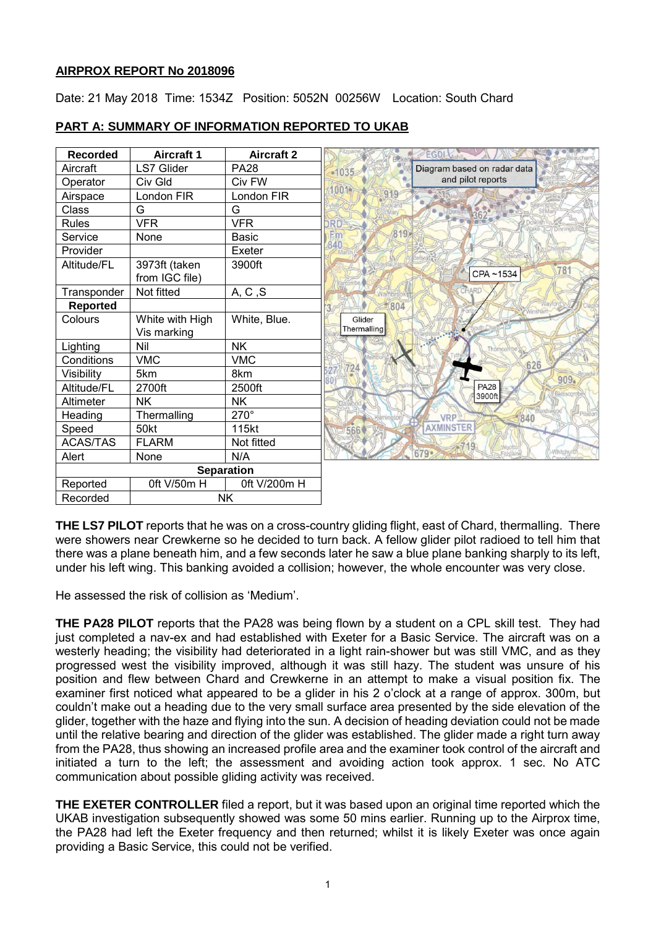## **AIRPROX REPORT No 2018096**

Date: 21 May 2018 Time: 1534Z Position: 5052N 00256W Location: South Chard

| <b>Recorded</b>   | <b>Aircraft 1</b> | <b>Aircraft 2</b> | <b>EGDI</b>                            |
|-------------------|-------------------|-------------------|----------------------------------------|
| Aircraft          | <b>LS7 Glider</b> | <b>PA28</b>       | Diagram based on radar data<br>$-1035$ |
| Operator          | Civ Gld           | Civ FW            | and pilot reports                      |
| Airspace          | London FIR        | London FIR        | 001                                    |
| Class             | G                 | G                 |                                        |
| <b>Rules</b>      | <b>VFR</b>        | <b>VFR</b>        | DRD                                    |
| Service           | None              | <b>Basic</b>      | (819)<br>Em                            |
| Provider          |                   | Exeter            | 840                                    |
| Altitude/FL       | 3973ft (taken     | 3900ft            | 781                                    |
|                   | from IGC file)    |                   | CPA~1534                               |
| Transponder       | Not fitted        | A, C, S           | CHARD                                  |
| <b>Reported</b>   |                   |                   | 804                                    |
| Colours           | White with High   | White, Blue.      | Glider                                 |
|                   | Vis marking       |                   | Thermalling                            |
| Lighting          | Nil               | <b>NK</b>         | Thorncombe                             |
| Conditions        | <b>VMC</b>        | <b>VMC</b>        | 626                                    |
| Visibility        | 5km               | 8km               | 909 <sub>o</sub>                       |
| Altitude/FL       | 2700ft            | 2500ft            | <b>PA28</b><br>Bettiscor               |
| Altimeter         | <b>NK</b>         | <b>NK</b>         | 3900ft                                 |
| Heading           | Thermalling       | $270^\circ$       | <b>VRP</b><br>840                      |
| Speed             | 50kt              | 115kt             | <b>AXMINSTER</b>                       |
| <b>ACAS/TAS</b>   | <b>FLARM</b>      | Not fitted        | WOO                                    |
| Alert             | None              | N/A               | Whitehure<br>$679 -$                   |
| <b>Separation</b> |                   |                   |                                        |
| Reported          | Oft V/50m H       | 0ft V/200m H      |                                        |
| Recorded          | <b>NK</b>         |                   |                                        |

# **PART A: SUMMARY OF INFORMATION REPORTED TO UKAB**

**THE LS7 PILOT** reports that he was on a cross-country gliding flight, east of Chard, thermalling. There were showers near Crewkerne so he decided to turn back. A fellow glider pilot radioed to tell him that there was a plane beneath him, and a few seconds later he saw a blue plane banking sharply to its left, under his left wing. This banking avoided a collision; however, the whole encounter was very close.

He assessed the risk of collision as 'Medium'.

**THE PA28 PILOT** reports that the PA28 was being flown by a student on a CPL skill test. They had just completed a nav-ex and had established with Exeter for a Basic Service. The aircraft was on a westerly heading; the visibility had deteriorated in a light rain-shower but was still VMC, and as they progressed west the visibility improved, although it was still hazy. The student was unsure of his position and flew between Chard and Crewkerne in an attempt to make a visual position fix. The examiner first noticed what appeared to be a glider in his 2 o'clock at a range of approx. 300m, but couldn't make out a heading due to the very small surface area presented by the side elevation of the glider, together with the haze and flying into the sun. A decision of heading deviation could not be made until the relative bearing and direction of the glider was established. The glider made a right turn away from the PA28, thus showing an increased profile area and the examiner took control of the aircraft and initiated a turn to the left; the assessment and avoiding action took approx. 1 sec. No ATC communication about possible gliding activity was received.

**THE EXETER CONTROLLER** filed a report, but it was based upon an original time reported which the UKAB investigation subsequently showed was some 50 mins earlier. Running up to the Airprox time, the PA28 had left the Exeter frequency and then returned; whilst it is likely Exeter was once again providing a Basic Service, this could not be verified.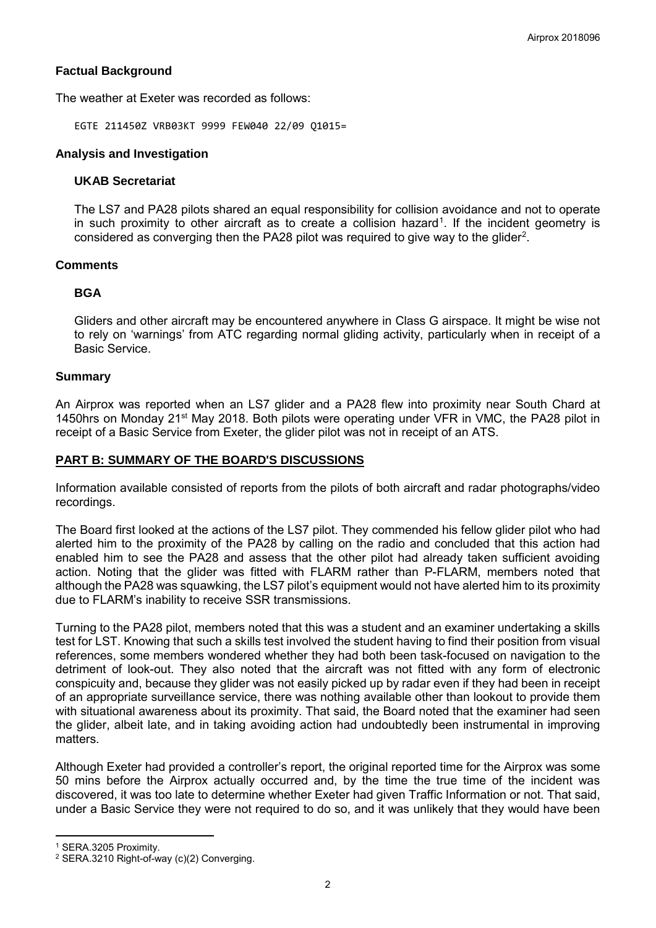## **Factual Background**

The weather at Exeter was recorded as follows:

EGTE 211450Z VRB03KT 9999 FEW040 22/09 Q1015=

### **Analysis and Investigation**

### **UKAB Secretariat**

The LS7 and PA28 pilots shared an equal responsibility for collision avoidance and not to operate in such proximity to other aircraft as to create a collision hazard<sup>[1](#page-1-0)</sup>. If the incident geometry is considered as converging then the PA[2](#page-1-1)8 pilot was required to give way to the glider<sup>2</sup>.

## **Comments**

## **BGA**

Gliders and other aircraft may be encountered anywhere in Class G airspace. It might be wise not to rely on 'warnings' from ATC regarding normal gliding activity, particularly when in receipt of a Basic Service.

#### **Summary**

An Airprox was reported when an LS7 glider and a PA28 flew into proximity near South Chard at 1450hrs on Monday 21<sup>st</sup> May 2018. Both pilots were operating under VFR in VMC, the PA28 pilot in receipt of a Basic Service from Exeter, the glider pilot was not in receipt of an ATS.

## **PART B: SUMMARY OF THE BOARD'S DISCUSSIONS**

Information available consisted of reports from the pilots of both aircraft and radar photographs/video recordings.

The Board first looked at the actions of the LS7 pilot. They commended his fellow glider pilot who had alerted him to the proximity of the PA28 by calling on the radio and concluded that this action had enabled him to see the PA28 and assess that the other pilot had already taken sufficient avoiding action. Noting that the glider was fitted with FLARM rather than P-FLARM, members noted that although the PA28 was squawking, the LS7 pilot's equipment would not have alerted him to its proximity due to FLARM's inability to receive SSR transmissions.

Turning to the PA28 pilot, members noted that this was a student and an examiner undertaking a skills test for LST. Knowing that such a skills test involved the student having to find their position from visual references, some members wondered whether they had both been task-focused on navigation to the detriment of look-out. They also noted that the aircraft was not fitted with any form of electronic conspicuity and, because they glider was not easily picked up by radar even if they had been in receipt of an appropriate surveillance service, there was nothing available other than lookout to provide them with situational awareness about its proximity. That said, the Board noted that the examiner had seen the glider, albeit late, and in taking avoiding action had undoubtedly been instrumental in improving matters.

Although Exeter had provided a controller's report, the original reported time for the Airprox was some 50 mins before the Airprox actually occurred and, by the time the true time of the incident was discovered, it was too late to determine whether Exeter had given Traffic Information or not. That said, under a Basic Service they were not required to do so, and it was unlikely that they would have been

l

<span id="page-1-0"></span><sup>1</sup> SERA.3205 Proximity.

<span id="page-1-1"></span><sup>2</sup> SERA.3210 Right-of-way (c)(2) Converging.